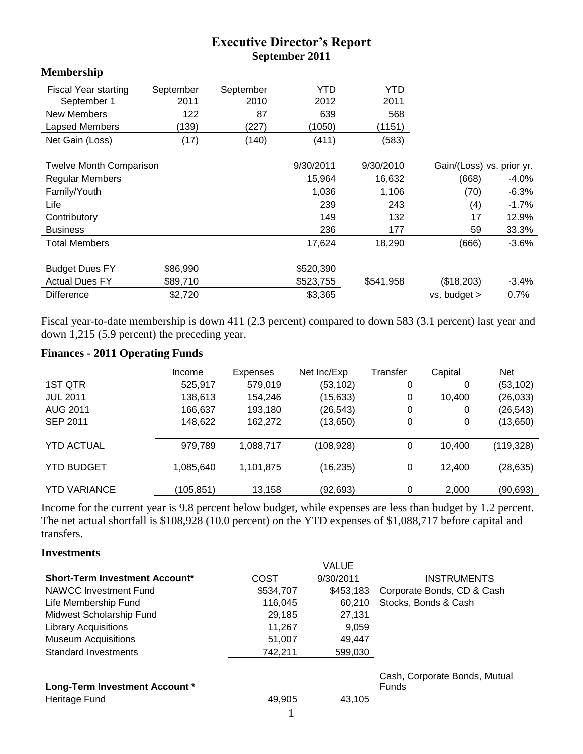# **Executive Director's Report September 2011**

#### **Membership**

| <b>Fiscal Year starting</b>    | September | September | YTD       | YTD       |                           |
|--------------------------------|-----------|-----------|-----------|-----------|---------------------------|
| September 1                    | 2011      | 2010      | 2012      | 2011      |                           |
| New Members                    | 122       | 87        | 639       | 568       |                           |
| Lapsed Members                 | (139)     | (227)     | (1050)    | (1151)    |                           |
| Net Gain (Loss)                | (17)      | (140)     | (411)     | (583)     |                           |
|                                |           |           |           |           |                           |
| <b>Twelve Month Comparison</b> |           |           | 9/30/2011 | 9/30/2010 | Gain/(Loss) vs. prior yr. |
| <b>Regular Members</b>         |           |           | 15.964    | 16.632    | (668)<br>$-4.0%$          |

| <b>Regular Members</b> |          | 15,964    | 16,632    | (668)            | $-4.0\%$ |
|------------------------|----------|-----------|-----------|------------------|----------|
| Family/Youth           |          | 1,036     | 1,106     | (70)             | $-6.3%$  |
| Life                   |          | 239       | 243       | (4)              | $-1.7%$  |
| Contributory           |          | 149       | 132       | 17               | 12.9%    |
| <b>Business</b>        |          | 236       | 177       | 59               | 33.3%    |
| <b>Total Members</b>   |          | 17.624    | 18.290    | (666)            | $-3.6%$  |
| <b>Budget Dues FY</b>  | \$86,990 | \$520,390 |           |                  |          |
| <b>Actual Dues FY</b>  | \$89,710 | \$523,755 | \$541,958 | (\$18,203)       | $-3.4%$  |
| <b>Difference</b>      | \$2,720  | \$3,365   |           | $vs.$ budget $>$ | 0.7%     |

Fiscal year-to-date membership is down 411 (2.3 percent) compared to down 583 (3.1 percent) last year and down 1,215 (5.9 percent) the preceding year.

## **Finances - 2011 Operating Funds**

|                     | Income    | Expenses  | Net Inc/Exp | Transfer | Capital | <b>Net</b> |
|---------------------|-----------|-----------|-------------|----------|---------|------------|
| 1ST QTR             | 525,917   | 579,019   | (53, 102)   | 0        | 0       | (53, 102)  |
| <b>JUL 2011</b>     | 138,613   | 154,246   | (15, 633)   | 0        | 10,400  | (26, 033)  |
| <b>AUG 2011</b>     | 166,637   | 193,180   | (26, 543)   | 0        | 0       | (26, 543)  |
| <b>SEP 2011</b>     | 148,622   | 162,272   | (13, 650)   | 0        | 0       | (13,650)   |
|                     |           |           |             |          |         |            |
| <b>YTD ACTUAL</b>   | 979,789   | 1,088,717 | (108,928)   | 0        | 10,400  | (119,328)  |
| <b>YTD BUDGET</b>   | 1,085,640 | 1,101,875 | (16, 235)   | 0        | 12.400  | (28, 635)  |
| <b>YTD VARIANCE</b> | (105,851) | 13,158    | (92,693)    | 0        | 2,000   | (90,693)   |

Income for the current year is 9.8 percent below budget, while expenses are less than budget by 1.2 percent. The net actual shortfall is \$108,928 (10.0 percent) on the YTD expenses of \$1,088,717 before capital and transfers.

#### **Investments**

|           | <b>VALUE</b> |                               |
|-----------|--------------|-------------------------------|
| COST      | 9/30/2011    | <b>INSTRUMENTS</b>            |
| \$534,707 | \$453,183    | Corporate Bonds, CD & Cash    |
| 116.045   | 60.210       | Stocks, Bonds & Cash          |
| 29,185    | 27,131       |                               |
| 11,267    | 9,059        |                               |
| 51,007    | 49,447       |                               |
| 742.211   | 599,030      |                               |
|           |              |                               |
|           |              | Cash, Corporate Bonds, Mutual |
|           |              | <b>Funds</b>                  |
|           |              |                               |
|           | 49,905       | 43,105                        |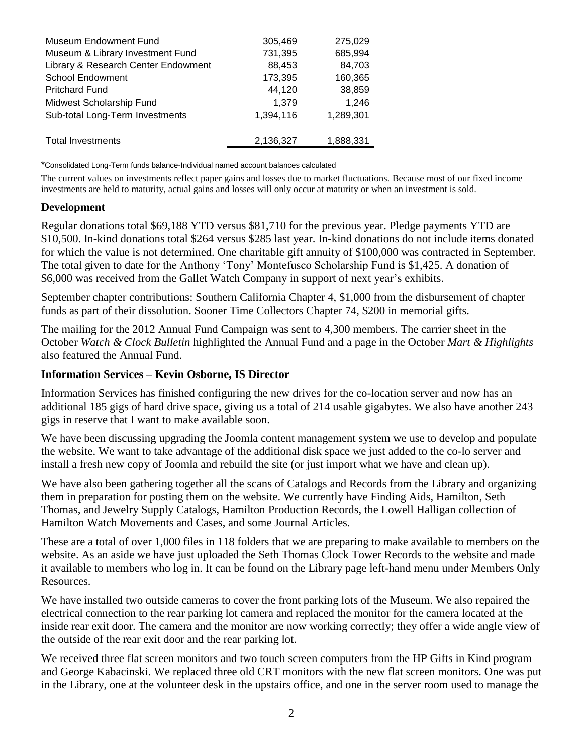| Museum Endowment Fund               | 305,469   | 275,029   |
|-------------------------------------|-----------|-----------|
| Museum & Library Investment Fund    | 731,395   | 685,994   |
| Library & Research Center Endowment | 88,453    | 84,703    |
| <b>School Endowment</b>             | 173,395   | 160,365   |
| <b>Pritchard Fund</b>               | 44,120    | 38,859    |
| Midwest Scholarship Fund            | 1,379     | 1,246     |
| Sub-total Long-Term Investments     | 1,394,116 | 1,289,301 |
|                                     |           |           |
| <b>Total Investments</b>            | 2,136,327 | 1,888,331 |

\*Consolidated Long-Term funds balance-Individual named account balances calculated

The current values on investments reflect paper gains and losses due to market fluctuations. Because most of our fixed income investments are held to maturity, actual gains and losses will only occur at maturity or when an investment is sold.

#### **Development**

Regular donations total \$69,188 YTD versus \$81,710 for the previous year. Pledge payments YTD are \$10,500. In-kind donations total \$264 versus \$285 last year. In-kind donations do not include items donated for which the value is not determined. One charitable gift annuity of \$100,000 was contracted in September. The total given to date for the Anthony 'Tony' Montefusco Scholarship Fund is \$1,425. A donation of \$6,000 was received from the Gallet Watch Company in support of next year's exhibits.

September chapter contributions: Southern California Chapter 4, \$1,000 from the disbursement of chapter funds as part of their dissolution. Sooner Time Collectors Chapter 74, \$200 in memorial gifts.

The mailing for the 2012 Annual Fund Campaign was sent to 4,300 members. The carrier sheet in the October *Watch & Clock Bulletin* highlighted the Annual Fund and a page in the October *Mart & Highlights* also featured the Annual Fund.

#### **Information Services – Kevin Osborne, IS Director**

Information Services has finished configuring the new drives for the co-location server and now has an additional 185 gigs of hard drive space, giving us a total of 214 usable gigabytes. We also have another 243 gigs in reserve that I want to make available soon.

We have been discussing upgrading the Joomla content management system we use to develop and populate the website. We want to take advantage of the additional disk space we just added to the co-lo server and install a fresh new copy of Joomla and rebuild the site (or just import what we have and clean up).

We have also been gathering together all the scans of Catalogs and Records from the Library and organizing them in preparation for posting them on the website. We currently have Finding Aids, Hamilton, Seth Thomas, and Jewelry Supply Catalogs, Hamilton Production Records, the Lowell Halligan collection of Hamilton Watch Movements and Cases, and some Journal Articles.

These are a total of over 1,000 files in 118 folders that we are preparing to make available to members on the website. As an aside we have just uploaded the Seth Thomas Clock Tower Records to the website and made it available to members who log in. It can be found on the Library page left-hand menu under Members Only Resources.

We have installed two outside cameras to cover the front parking lots of the Museum. We also repaired the electrical connection to the rear parking lot camera and replaced the monitor for the camera located at the inside rear exit door. The camera and the monitor are now working correctly; they offer a wide angle view of the outside of the rear exit door and the rear parking lot.

We received three flat screen monitors and two touch screen computers from the HP Gifts in Kind program and George Kabacinski. We replaced three old CRT monitors with the new flat screen monitors. One was put in the Library, one at the volunteer desk in the upstairs office, and one in the server room used to manage the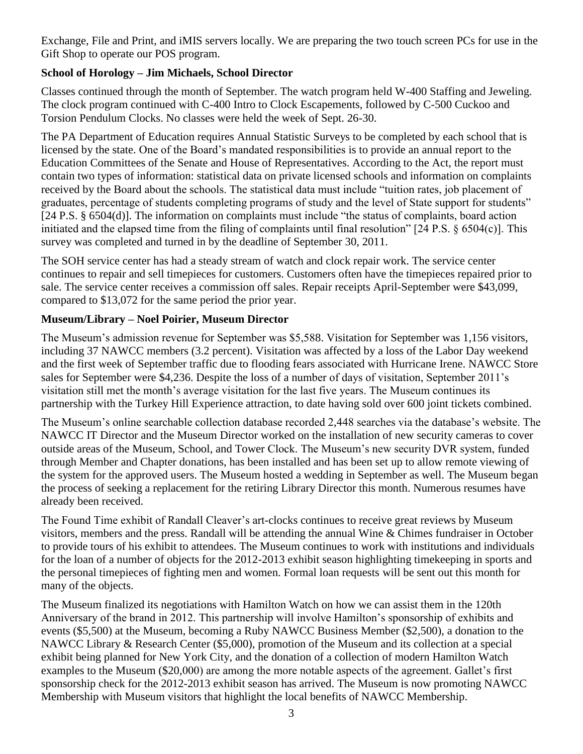Exchange, File and Print, and iMIS servers locally. We are preparing the two touch screen PCs for use in the Gift Shop to operate our POS program.

# **School of Horology – Jim Michaels, School Director**

Classes continued through the month of September. The watch program held W-400 Staffing and Jeweling. The clock program continued with C-400 Intro to Clock Escapements, followed by C-500 Cuckoo and Torsion Pendulum Clocks. No classes were held the week of Sept. 26-30.

The PA Department of Education requires Annual Statistic Surveys to be completed by each school that is licensed by the state. One of the Board's mandated responsibilities is to provide an annual report to the Education Committees of the Senate and House of Representatives. According to the Act, the report must contain two types of information: statistical data on private licensed schools and information on complaints received by the Board about the schools. The statistical data must include "tuition rates, job placement of graduates, percentage of students completing programs of study and the level of State support for students"  $[24 \text{ P.S. } § 6504(d)]$ . The information on complaints must include "the status of complaints, board action initiated and the elapsed time from the filing of complaints until final resolution"  $[24 \text{ P.S.} \S 6504(c)]$ . This survey was completed and turned in by the deadline of September 30, 2011.

The SOH service center has had a steady stream of watch and clock repair work. The service center continues to repair and sell timepieces for customers. Customers often have the timepieces repaired prior to sale. The service center receives a commission off sales. Repair receipts April-September were \$43,099, compared to \$13,072 for the same period the prior year.

# **Museum/Library – Noel Poirier, Museum Director**

The Museum's admission revenue for September was \$5,588. Visitation for September was 1,156 visitors, including 37 NAWCC members (3.2 percent). Visitation was affected by a loss of the Labor Day weekend and the first week of September traffic due to flooding fears associated with Hurricane Irene. NAWCC Store sales for September were \$4,236. Despite the loss of a number of days of visitation, September 2011's visitation still met the month's average visitation for the last five years. The Museum continues its partnership with the Turkey Hill Experience attraction, to date having sold over 600 joint tickets combined.

The Museum's online searchable collection database recorded 2,448 searches via the database's website. The NAWCC IT Director and the Museum Director worked on the installation of new security cameras to cover outside areas of the Museum, School, and Tower Clock. The Museum's new security DVR system, funded through Member and Chapter donations, has been installed and has been set up to allow remote viewing of the system for the approved users. The Museum hosted a wedding in September as well. The Museum began the process of seeking a replacement for the retiring Library Director this month. Numerous resumes have already been received.

The Found Time exhibit of Randall Cleaver's art-clocks continues to receive great reviews by Museum visitors, members and the press. Randall will be attending the annual Wine & Chimes fundraiser in October to provide tours of his exhibit to attendees. The Museum continues to work with institutions and individuals for the loan of a number of objects for the 2012-2013 exhibit season highlighting timekeeping in sports and the personal timepieces of fighting men and women. Formal loan requests will be sent out this month for many of the objects.

The Museum finalized its negotiations with Hamilton Watch on how we can assist them in the 120th Anniversary of the brand in 2012. This partnership will involve Hamilton's sponsorship of exhibits and events (\$5,500) at the Museum, becoming a Ruby NAWCC Business Member (\$2,500), a donation to the NAWCC Library & Research Center (\$5,000), promotion of the Museum and its collection at a special exhibit being planned for New York City, and the donation of a collection of modern Hamilton Watch examples to the Museum (\$20,000) are among the more notable aspects of the agreement. Gallet's first sponsorship check for the 2012-2013 exhibit season has arrived. The Museum is now promoting NAWCC Membership with Museum visitors that highlight the local benefits of NAWCC Membership.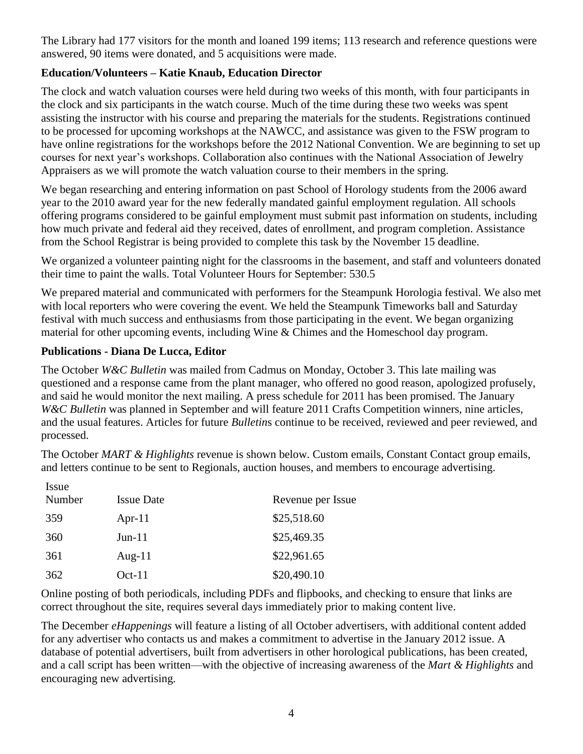The Library had 177 visitors for the month and loaned 199 items; 113 research and reference questions were answered, 90 items were donated, and 5 acquisitions were made.

# **Education/Volunteers – Katie Knaub, Education Director**

The clock and watch valuation courses were held during two weeks of this month, with four participants in the clock and six participants in the watch course. Much of the time during these two weeks was spent assisting the instructor with his course and preparing the materials for the students. Registrations continued to be processed for upcoming workshops at the NAWCC, and assistance was given to the FSW program to have online registrations for the workshops before the 2012 National Convention. We are beginning to set up courses for next year's workshops. Collaboration also continues with the National Association of Jewelry Appraisers as we will promote the watch valuation course to their members in the spring.

We began researching and entering information on past School of Horology students from the 2006 award year to the 2010 award year for the new federally mandated gainful employment regulation. All schools offering programs considered to be gainful employment must submit past information on students, including how much private and federal aid they received, dates of enrollment, and program completion. Assistance from the School Registrar is being provided to complete this task by the November 15 deadline.

We organized a volunteer painting night for the classrooms in the basement, and staff and volunteers donated their time to paint the walls. Total Volunteer Hours for September: 530.5

We prepared material and communicated with performers for the Steampunk Horologia festival. We also met with local reporters who were covering the event. We held the Steampunk Timeworks ball and Saturday festival with much success and enthusiasms from those participating in the event. We began organizing material for other upcoming events, including Wine & Chimes and the Homeschool day program.

## **Publications - Diana De Lucca, Editor**

The October *W&C Bulletin* was mailed from Cadmus on Monday, October 3. This late mailing was questioned and a response came from the plant manager, who offered no good reason, apologized profusely, and said he would monitor the next mailing. A press schedule for 2011 has been promised. The January *W&C Bulletin* was planned in September and will feature 2011 Crafts Competition winners, nine articles, and the usual features. Articles for future *Bulletin*s continue to be received, reviewed and peer reviewed, and processed.

The October *MART & Highlights* revenue is shown below. Custom emails, Constant Contact group emails, and letters continue to be sent to Regionals, auction houses, and members to encourage advertising.

| Issue  |                   |                   |
|--------|-------------------|-------------------|
| Number | <b>Issue Date</b> | Revenue per Issue |
| 359    | Apr-11            | \$25,518.60       |
| 360    | $Jun-11$          | \$25,469.35       |
| 361    | Aug- $11$         | \$22,961.65       |
| 362    | $Oct-11$          | \$20,490.10       |

Online posting of both periodicals, including PDFs and flipbooks, and checking to ensure that links are correct throughout the site, requires several days immediately prior to making content live.

The December *eHappenings* will feature a listing of all October advertisers, with additional content added for any advertiser who contacts us and makes a commitment to advertise in the January 2012 issue. A database of potential advertisers, built from advertisers in other horological publications, has been created, and a call script has been written—with the objective of increasing awareness of the *Mart & Highlights* and encouraging new advertising.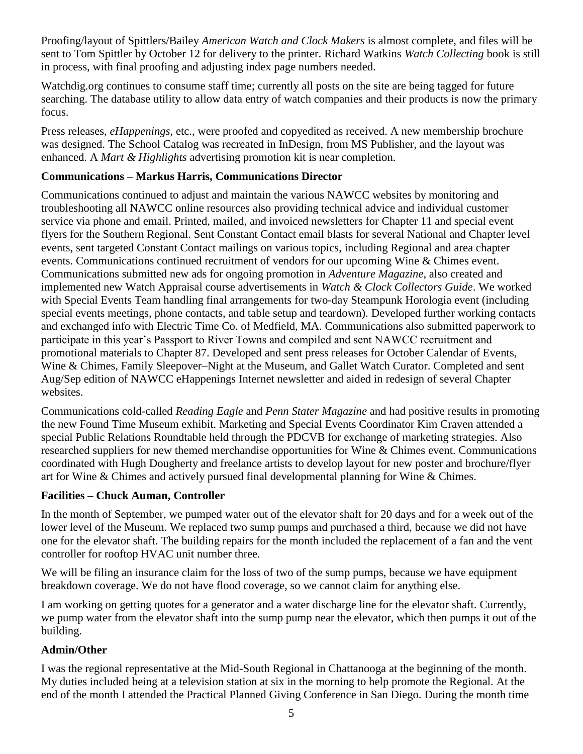Proofing/layout of Spittlers/Bailey *American Watch and Clock Makers* is almost complete, and files will be sent to Tom Spittler by October 12 for delivery to the printer. Richard Watkins *Watch Collecting* book is still in process, with final proofing and adjusting index page numbers needed.

Watchdig.org continues to consume staff time; currently all posts on the site are being tagged for future searching. The database utility to allow data entry of watch companies and their products is now the primary focus.

Press releases, *eHappenings*, etc., were proofed and copyedited as received. A new membership brochure was designed. The School Catalog was recreated in InDesign, from MS Publisher, and the layout was enhanced. A *Mart & Highlights* advertising promotion kit is near completion.

### **Communications – Markus Harris, Communications Director**

Communications continued to adjust and maintain the various NAWCC websites by monitoring and troubleshooting all NAWCC online resources also providing technical advice and individual customer service via phone and email. Printed, mailed, and invoiced newsletters for Chapter 11 and special event flyers for the Southern Regional. Sent Constant Contact email blasts for several National and Chapter level events, sent targeted Constant Contact mailings on various topics, including Regional and area chapter events. Communications continued recruitment of vendors for our upcoming Wine & Chimes event. Communications submitted new ads for ongoing promotion in *Adventure Magazine*, also created and implemented new Watch Appraisal course advertisements in *Watch & Clock Collectors Guide*. We worked with Special Events Team handling final arrangements for two-day Steampunk Horologia event (including special events meetings, phone contacts, and table setup and teardown). Developed further working contacts and exchanged info with Electric Time Co. of Medfield, MA. Communications also submitted paperwork to participate in this year's Passport to River Towns and compiled and sent NAWCC recruitment and promotional materials to Chapter 87. Developed and sent press releases for October Calendar of Events, Wine & Chimes, Family Sleepover–Night at the Museum, and Gallet Watch Curator. Completed and sent Aug/Sep edition of NAWCC eHappenings Internet newsletter and aided in redesign of several Chapter websites.

Communications cold-called *Reading Eagle* and *Penn Stater Magazine* and had positive results in promoting the new Found Time Museum exhibit. Marketing and Special Events Coordinator Kim Craven attended a special Public Relations Roundtable held through the PDCVB for exchange of marketing strategies. Also researched suppliers for new themed merchandise opportunities for Wine & Chimes event. Communications coordinated with Hugh Dougherty and freelance artists to develop layout for new poster and brochure/flyer art for Wine & Chimes and actively pursued final developmental planning for Wine & Chimes.

#### **Facilities – Chuck Auman, Controller**

In the month of September, we pumped water out of the elevator shaft for 20 days and for a week out of the lower level of the Museum. We replaced two sump pumps and purchased a third, because we did not have one for the elevator shaft. The building repairs for the month included the replacement of a fan and the vent controller for rooftop HVAC unit number three.

We will be filing an insurance claim for the loss of two of the sump pumps, because we have equipment breakdown coverage. We do not have flood coverage, so we cannot claim for anything else.

I am working on getting quotes for a generator and a water discharge line for the elevator shaft. Currently, we pump water from the elevator shaft into the sump pump near the elevator, which then pumps it out of the building.

#### **Admin/Other**

I was the regional representative at the Mid-South Regional in Chattanooga at the beginning of the month. My duties included being at a television station at six in the morning to help promote the Regional. At the end of the month I attended the Practical Planned Giving Conference in San Diego. During the month time